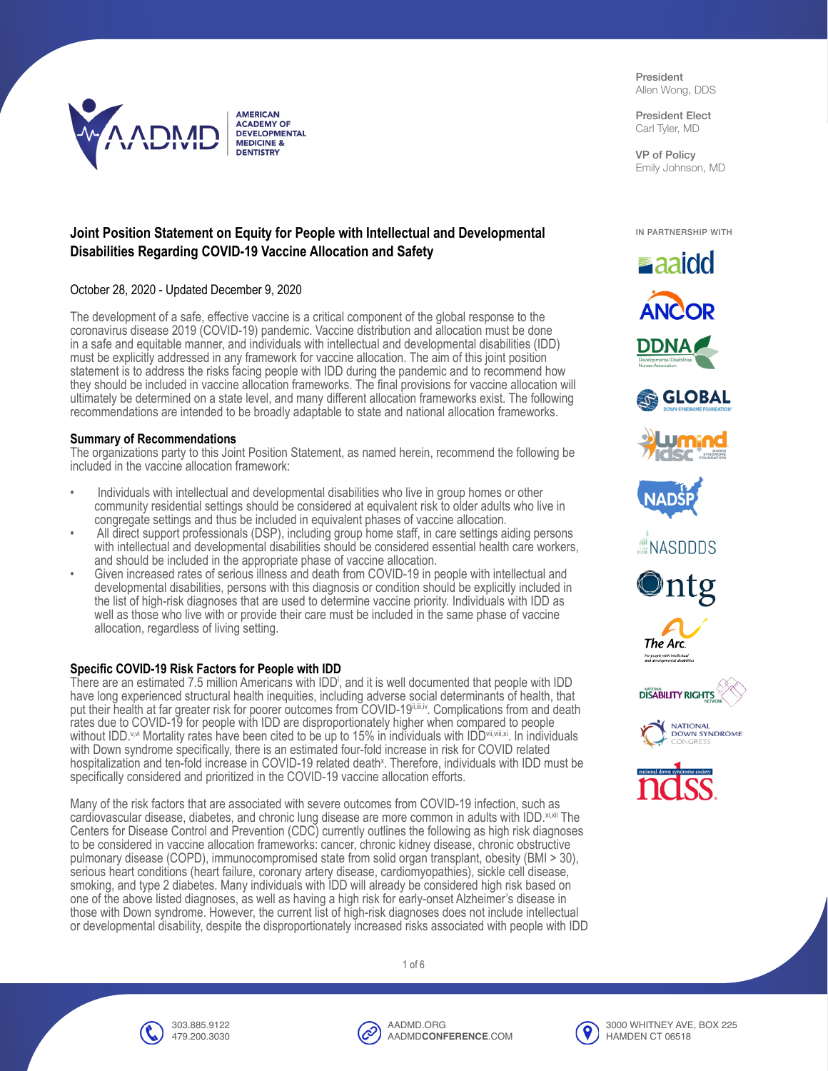

# **Joint Position Statement on Equity for People with Intellectual and Developmental Disabilities Regarding COVID-19 Vaccine Allocation and Safety**

## October 28, 2020 - Updated December 9, 2020

The development of a safe, effective vaccine is a critical component of the global response to the coronavirus disease 2019 (COVID-19) pandemic. Vaccine distribution and allocation must be done in a safe and equitable manner, and individuals with intellectual and developmental disabilities (IDD) must be explicitly addressed in any framework for vaccine allocation. The aim of this joint position statement is to address the risks facing people with IDD during the pandemic and to recommend how they should be included in vaccine allocation frameworks. The final provisions for vaccine allocation will ultimately be determined on a state level, and many different allocation frameworks exist. The following recommendations are intended to be broadly adaptable to state and national allocation frameworks.

#### **Summary of Recommendations**

The organizations party to this Joint Position Statement, as named herein, recommend the following be included in the vaccine allocation framework:

- Individuals with intellectual and developmental disabilities who live in group homes or other community residential settings should be considered at equivalent risk to older adults who live in congregate settings and thus be included in equivalent phases of vaccine allocation.
- All direct support professionals (DSP), including group home staff, in care settings aiding persons with intellectual and developmental disabilities should be considered essential health care workers, and should be included in the appropriate phase of vaccine allocation.
- Given increased rates of serious illness and death from COVID-19 in people with intellectual and developmental disabilities, persons with this diagnosis or condition should be explicitly included in the list of high-risk diagnoses that are used to determine vaccine priority. Individuals with IDD as well as those who live with or provide their care must be included in the same phase of vaccine allocation, regardless of living setting.

# **Specific COVID-19 Risk Factors for People with IDD**

There are an estimated 7.5 million Americans with IDDi , and it is well documented that people with IDD have long experienced structural health inequities, including adverse social determinants of health, that put their health at far greater risk for poorer outcomes from COVID-19iiiii.<sup>i</sup>. Complications from and death rates due to COVID-19 for people with IDD are disproportionately higher when compared to people without IDD.<sup>v,vi</sup> Mortality rates have been cited to be up to 15% in individuals with IDD<sup>vii,viii,xi</sup>. In individuals with Down syndrome specifically, there is an estimated four-fold increase in risk for COVID related hospitalization and ten-fold increase in COVID-19 related death<sup>x</sup>. Therefore, individuals with IDD must be specifically considered and prioritized in the COVID-19 vaccine allocation efforts.

Many of the risk factors that are associated with severe outcomes from COVID-19 infection, such as cardiovascular disease, diabetes, and chronic lung disease are more common in adults with IDD.<sup>xi,xii</sup> The Centers for Disease Control and Prevention (CDC) currently outlines the following as high risk diagnoses to be considered in vaccine allocation frameworks: cancer, chronic kidney disease, chronic obstructive pulmonary disease (COPD), immunocompromised state from solid organ transplant, obesity (BMI > 30), serious heart conditions (heart failure, coronary artery disease, cardiomyopathies), sickle cell disease, smoking, and type 2 diabetes. Many individuals with IDD will already be considered high risk based on one of the above listed diagnoses, as well as having a high risk for early-onset Alzheimer's disease in those with Down syndrome. However, the current list of high-risk diagnoses does not include intellectual or developmental disability, despite the disproportionately increased risks associated with people with IDD

President Allen Wong, DDS

President Elect Carl Tyler, MD

VP of Policy Emily Johnson, MD

IN PARTNERSHIP WITH









**ASDDDS** 



The Arc For people with intellect











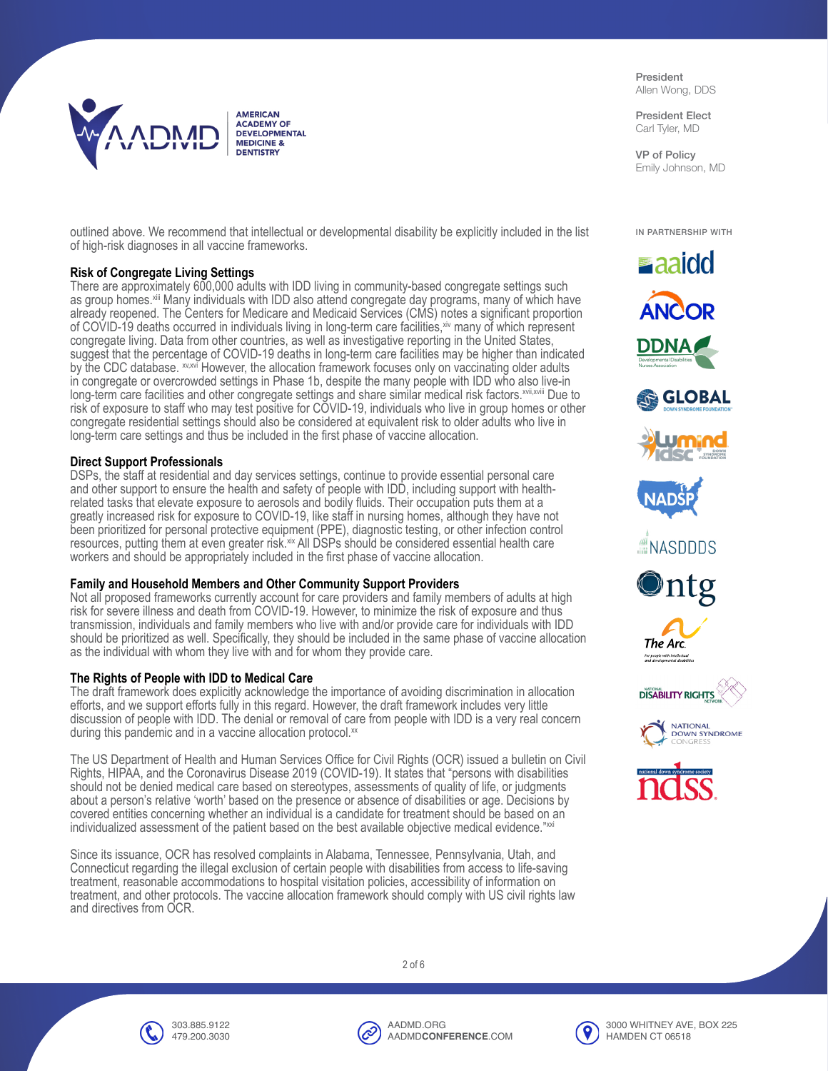

outlined above. We recommend that intellectual or developmental disability be explicitly included in the list of high-risk diagnoses in all vaccine frameworks.

#### **Risk of Congregate Living Settings**

There are approximately 600,000 adults with IDD living in community-based congregate settings such as group homes.<sup>xiii</sup> Many individuals with IDD also attend congregate day programs, many of which have already reopened. The Centers for Medicare and Medicaid Services (CMS) notes a significant proportion of COVID-19 deaths occurred in individuals living in long-term care facilities, xiv many of which represent congregate living. Data from other countries, as well as investigative reporting in the United States, suggest that the percentage of COVID-19 deaths in long-term care facilities may be higher than indicated by the CDC database.  $x_{x}$ <sup>*x*</sup> However, the allocation framework focuses only on vaccinating older adults in congregate or overcrowded settings in Phase 1b, despite the many people with IDD who also live-in long-term care facilities and other congregate settings and share similar medical risk factors. xvii,xviii Due to risk of exposure to staff who may test positive for COVID-19, individuals who live in group homes or other congregate residential settings should also be considered at equivalent risk to older adults who live in long-term care settings and thus be included in the first phase of vaccine allocation.

#### **Direct Support Professionals**

DSPs, the staff at residential and day services settings, continue to provide essential personal care and other support to ensure the health and safety of people with IDD, including support with healthrelated tasks that elevate exposure to aerosols and bodily fluids. Their occupation puts them at a greatly increased risk for exposure to COVID-19, like staff in nursing homes, although they have not been prioritized for personal protective equipment (PPE), diagnostic testing, or other infection control resources, putting them at even greater risk.<sup>xix</sup> All DSPs should be considered essential health care workers and should be appropriately included in the first phase of vaccine allocation.

#### **Family and Household Members and Other Community Support Providers**

Not all proposed frameworks currently account for care providers and family members of adults at high risk for severe illness and death from COVID-19. However, to minimize the risk of exposure and thus transmission, individuals and family members who live with and/or provide care for individuals with IDD should be prioritized as well. Specifically, they should be included in the same phase of vaccine allocation as the individual with whom they live with and for whom they provide care.

#### **The Rights of People with IDD to Medical Care**

The draft framework does explicitly acknowledge the importance of avoiding discrimination in allocation efforts, and we support efforts fully in this regard. However, the draft framework includes very little discussion of people with IDD. The denial or removal of care from people with IDD is a very real concern during this pandemic and in a vaccine allocation protocol.<sup>xx</sup>

The US Department of Health and Human Services Office for Civil Rights (OCR) issued a bulletin on Civil Rights, HIPAA, and the Coronavirus Disease 2019 (COVID-19). It states that "persons with disabilities should not be denied medical care based on stereotypes, assessments of quality of life, or judgments about a person's relative 'worth' based on the presence or absence of disabilities or age. Decisions by covered entities concerning whether an individual is a candidate for treatment should be based on an individualized assessment of the patient based on the best available objective medical evidence."xxi

Since its issuance, OCR has resolved complaints in Alabama, Tennessee, Pennsylvania, Utah, and Connecticut regarding the illegal exclusion of certain people with disabilities from access to life-saving treatment, reasonable accommodations to hospital visitation policies, accessibility of information on treatment, and other protocols. The vaccine allocation framework should comply with US civil rights law and directives from OCR.

President Allen Wong, DDS

President Elect Carl Tyler, MD

VP of Policy Emily Johnson, MD

IN PARTNERSHIP WITH









**ASDDDS** 

















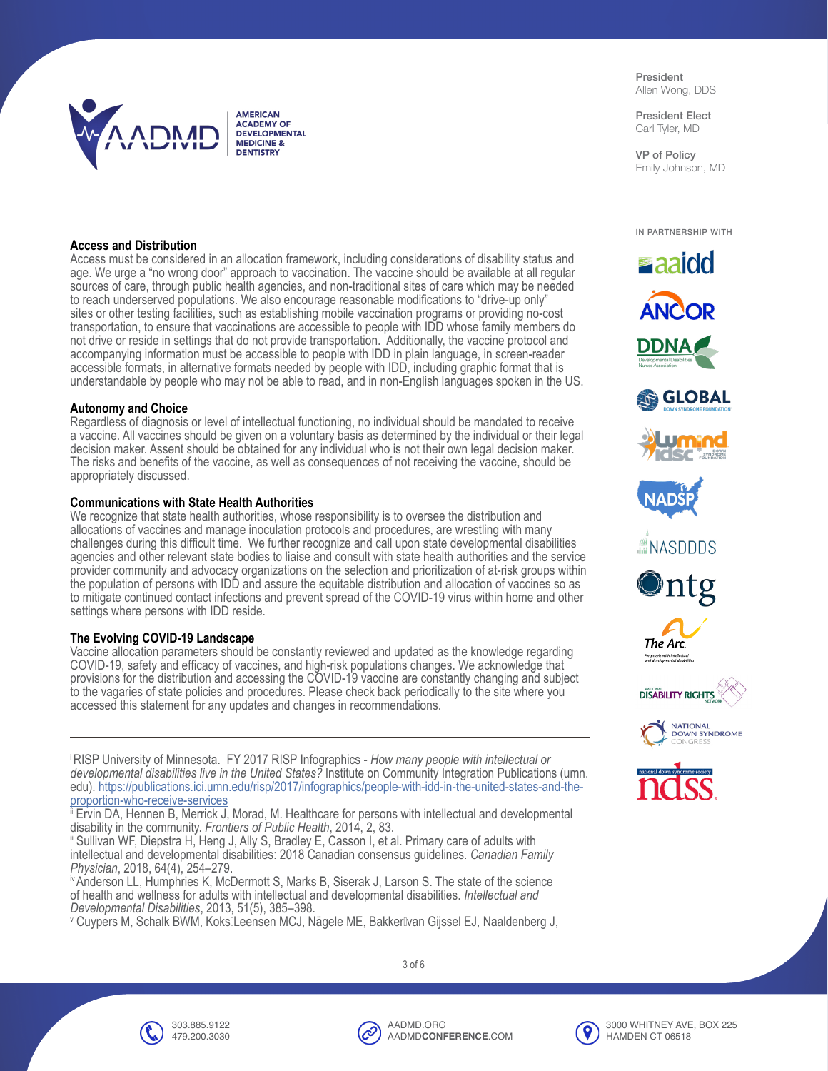

President Allen Wong, DDS

President Elect Carl Tyler, MD

VP of Policy Emily Johnson, MD

IN PARTNERSHIP WITH

## **Access and Distribution**

Access must be considered in an allocation framework, including considerations of disability status and age. We urge a "no wrong door" approach to vaccination. The vaccine should be available at all regular sources of care, through public health agencies, and non-traditional sites of care which may be needed to reach underserved populations. We also encourage reasonable modifications to "drive-up only" sites or other testing facilities, such as establishing mobile vaccination programs or providing no-cost transportation, to ensure that vaccinations are accessible to people with IDD whose family members do not drive or reside in settings that do not provide transportation. Additionally, the vaccine protocol and accompanying information must be accessible to people with IDD in plain language, in screen-reader accessible formats, in alternative formats needed by people with IDD, including graphic format that is understandable by people who may not be able to read, and in non-English languages spoken in the US.

#### **Autonomy and Choice**

Regardless of diagnosis or level of intellectual functioning, no individual should be mandated to receive a vaccine. All vaccines should be given on a voluntary basis as determined by the individual or their legal decision maker. Assent should be obtained for any individual who is not their own legal decision maker. The risks and benefits of the vaccine, as well as consequences of not receiving the vaccine, should be appropriately discussed.

## **Communications with State Health Authorities**

We recognize that state health authorities, whose responsibility is to oversee the distribution and allocations of vaccines and manage inoculation protocols and procedures, are wrestling with many challenges during this difficult time. We further recognize and call upon state developmental disabilities agencies and other relevant state bodies to liaise and consult with state health authorities and the service provider community and advocacy organizations on the selection and prioritization of at-risk groups within the population of persons with IDD and assure the equitable distribution and allocation of vaccines so as to mitigate continued contact infections and prevent spread of the COVID-19 virus within home and other settings where persons with IDD reside.

# **The Evolving COVID-19 Landscape**

Vaccine allocation parameters should be constantly reviewed and updated as the knowledge regarding COVID-19, safety and efficacy of vaccines, and high-risk populations changes. We acknowledge that provisions for the distribution and accessing the COVID-19 vaccine are constantly changing and subject to the vagaries of state policies and procedures. Please check back periodically to the site where you accessed this statement for any updates and changes in recommendations.

<sup>i</sup>RISP University of Minnesota. FY 2017 RISP Infographics - *How many people with intellectual or developmental disabilities live in the United States?* Institute on Community Integration Publications (umn. edu). [https://publications.ici.umn.edu/risp/2017/infographics/people-with-idd-in-the-united-states-and-the](https://publications.ici.umn.edu/risp/2017/infographics/people-with-idd-in-the-united-states-and-the-proportion-who-receive-services)[proportion-who-receive-services](https://publications.ici.umn.edu/risp/2017/infographics/people-with-idd-in-the-united-states-and-the-proportion-who-receive-services)

<sup>ii</sup> Ervin DA, Hennen B, Merrick J, Morad, M. Healthcare for persons with intellectual and developmental disability in the community. *Frontiers of Public Health*, 2014, 2, 83.

disability in the community. *Frontiers of Public Health*, 2014, 2, 83. iii Sullivan WF, Diepstra H, Heng J, Ally S, Bradley E, Casson I, et al. Primary care of adults with intellectual and developmental disabilities: 2018 Canadian consensus guidelines. *Canadian Family* 

<sup>*iv*</sup> Anderson LL, Humphries K, McDermott S, Marks B, Siserak J, Larson S. The state of the science of health and wellness for adults with intellectual and developmental disabilities. *Intellectual and Developmental Disabilities*, 2013, 51(5), 385–398. v

v Cuypers M, Schalk BWM, KoksiLeensen MCJ, Nägele ME, Bakkerivan Gijssel EJ, Naaldenberg J,









NASDODS



The Arc For people with intellect











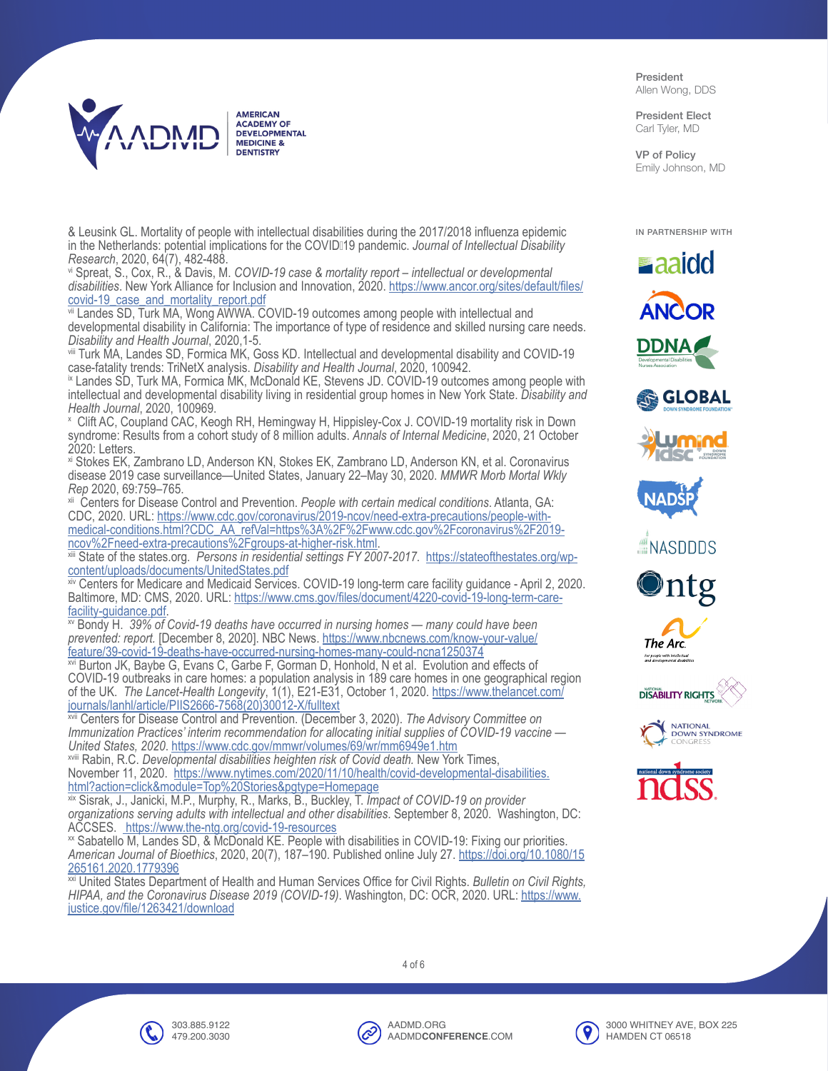

& Leusink GL. Mortality of people with intellectual disabilities during the 2017/2018 influenza epidemic in the Netherlands: potential implications for the COVID<sup>19</sup> pandemic. *Journal of Intellectual Disability Research*, 2020, 64(7), 482-488.

*Research*, 2020, 64(7), 482-488. vi Spreat, S., Cox, R., & Davis, M. *COVID-19 case & mortality report – intellectual or developmental disabilities*. New York Alliance for Inclusion and Innovation, 2020. [https://www.ancor.org/sites/default/files/](https://www.ancor.org/sites/default/files/covid-19_case_and_mortality_report.pdf ) [covid-19\\_case\\_and\\_mortality\\_report.pdf](https://www.ancor.org/sites/default/files/covid-19_case_and_mortality_report.pdf )

vii Landes SD, Turk MA, Wong AWWA. COVID-19 outcomes among people with intellectual and developmental disability in California: The importance of type of residence and skilled nursing care needs.<br>Disability and Health Journal, 2020,1-5.

vill Turk MA, Landes SD, Formica MK, Goss KD. Intellectual and developmental disability and COVID-19<br>case-fatality trends: TriNetX analysis. *Disability and Health Journal*, 2020, 100942.

<sup>ix</sup> Landes SD, Turk MA, Formica MK, McDonald KE, Stevens JD. COVID-19 outcomes among people with intellectual and developmental disability living in residential group homes in New York State. *Disability and Health Journal*, 2020, 100969.

 Clift AC, Coupland CAC, Keogh RH, Hemingway H, Hippisley-Cox J. COVID-19 mortality risk in Down syndrome: Results from a cohort study of 8 million adults. *Annals of Internal Medicine*, 2020, 21 October 2020: Letters.

xi Stokes EK, Zambrano LD, Anderson KN, Stokes EK, Zambrano LD, Anderson KN, et al. Coronavirus disease 2019 case surveillance—United States, January 22–May 30, 2020. *MMWR Morb Mortal Wkly* 

*Rep* 2020, 69:759–765. xii Centers for Disease Control and Prevention. *People with certain medical conditions*. Atlanta, GA: CDC, 2020. URL: [https://www.cdc.gov/coronavirus/2019-ncov/need-extra-precautions/people-with](https://www.cdc.gov/coronavirus/2019-ncov/need-extra-precautions/people-with-medical-conditions.html?CDC_AA_refVal=https%3A%2F%2Fwww.cdc.gov%2Fcoronavirus%2F2019-ncov%2Fneed-extra-precautions%2Fgroups-at-higher-risk.html)[medical-conditions.html?CDC\\_AA\\_refVal=https%3A%2F%2Fwww.cdc.gov%2Fcoronavirus%2F2019-](https://www.cdc.gov/coronavirus/2019-ncov/need-extra-precautions/people-with-medical-conditions.html?CDC_AA_refVal=https%3A%2F%2Fwww.cdc.gov%2Fcoronavirus%2F2019-ncov%2Fneed-extra-precautions%2Fgroups-at-higher-risk.html)<br>ncov%2Fneed-extra-precautions%2Fgroups-at-higher-risk.html.

xiii State of the states.org. Persons in residential settings FY 2007-2017. [https://stateofthestates.org/wp](https://stateofthestates.org/wp-content/uploads/documents/UnitedStates.pdf )[content/uploads/documents/UnitedStates.pdf](https://stateofthestates.org/wp-content/uploads/documents/UnitedStates.pdf )

xiv Centers for Medicare and Medicaid Services. COVID-19 long-term care facility guidance - April 2, 2020. Baltimore, MD: CMS, 2020. URL: https://www.cms.gov/files/document/4220-covid-19-long-term-care-<br>facility-quidance.pdf.

 $\frac{1}{2}$  Bondy H. 39% of Covid-19 deaths have occurred in nursing homes — many could have been *prevented: report.* [December 8, 2020]. NBC News. [https://www.nbcnews.com/know-your-value/](https://www.nbcnews.com/know-your-value/feature/39-covid-19-deaths-have-occurred-nursing-homes-many-could-ncna1250374 ) [feature/39-covid-19-deaths-have-occurred-nursing-homes-many-could-ncna1250374](https://www.nbcnews.com/know-your-value/feature/39-covid-19-deaths-have-occurred-nursing-homes-many-could-ncna1250374 )

xvi Burton JK, Baybe G, Evans C, Garbe F, Gorman D, Honhold, N et al. Evolution and effects of COVID-19 outbreaks in care homes: a population analysis in 189 care homes in one geographical region of the UK. *The Lancet-Health Longevity*, 1(1), E21-E31, October 1, 2020. [https://www.thelancet.com/](https://www.thelancet.com/journals/lanhl/article/PIIS2666-7568(20)30012-X/fulltext) [journals/lanhl/article/PIIS2666-7568\(20\)30012-X/fulltext](https://www.thelancet.com/journals/lanhl/article/PIIS2666-7568(20)30012-X/fulltext)

xvii Centers for Disease Control and Prevention. (December 3, 2020). *The Advisory Committee on Immunization Practices' interim recommendation for allocating initial supplies of COVID-19 vaccine —* 

<sup>XVIII</sup> Rabin, R.C. *Developmental disabilities heighten risk of Covid death.* New York Times, November 11, 2020. [https://www.nytimes.com/2020/11/10/health/covid-developmental-disabilities.](https://www.nytimes.com/2020/11/10/health/covid-developmental-disabilities.html?action=click&module=Top%20Stories&pgtype=Homepage ) [html?action=click&module=Top%20Stories&pgtype=Homepage](https://www.nytimes.com/2020/11/10/health/covid-developmental-disabilities.html?action=click&module=Top%20Stories&pgtype=Homepage )

xix Sisrak, J., Janicki, M.P., Murphy, R., Marks, B., Buckley, T. *Impact of COVID-19 on provider organizations serving adults with intellectual and other disabilities*. September 8, 2020. Washington, DC:

x Sabatello M, Landes SD, & McDonald KE. People with disabilities in COVID-19: Fixing our priorities *American Journal of Bioethics*, 2020, 20(7), 187–190. Published online July 27. [https://doi.org/10.1080/15](https://doi.org/10.1080/15265161.2020.1779396 ) [265161.2020.1779396](https://doi.org/10.1080/15265161.2020.1779396 )

xxi United States Department of Health and Human Services Office for Civil Rights. *Bulletin on Civil Rights, HIPAA, and the Coronavirus Disease 2019 (COVID-19)*. Washington, DC: OCR, 2020. URL: [https://www.](https://www.justice.gov/file/1263421/download ) [justice.gov/file/1263421/download](https://www.justice.gov/file/1263421/download )

President Allen Wong, DDS

President Elect Carl Tyler, MD

VP of Policy Emily Johnson, MD















The Arc For people with intellect











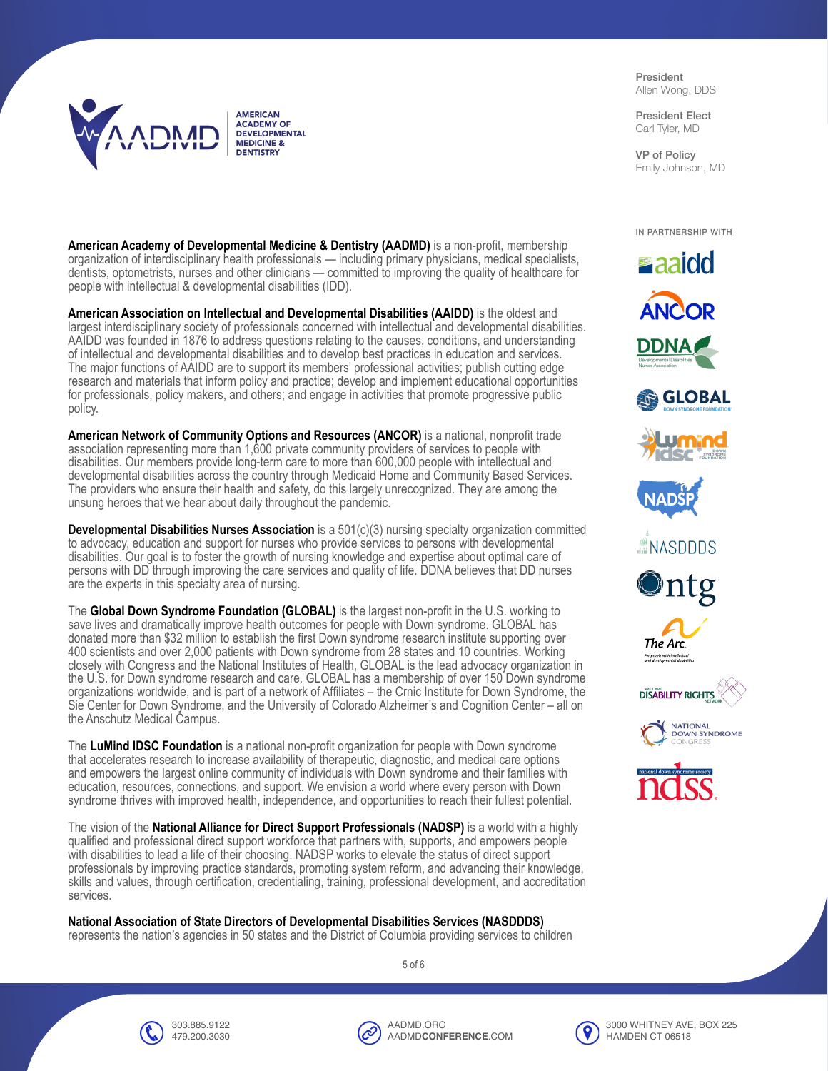

President Allen Wong, DDS

President Elect Carl Tyler, MD

VP of Policy Emily Johnson, MD

**American Academy of Developmental Medicine & Dentistry (AADMD)** is a non-profit, membership organization of interdisciplinary health professionals — including primary physicians, medical specialists, dentists, optometrists, nurses and other clinicians — committed to improving the quality of healthcare for people with intellectual & developmental disabilities (IDD).

**American Association on Intellectual and Developmental Disabilities (AAIDD)** is the oldest and largest interdisciplinary society of professionals concerned with intellectual and developmental disabilities. AAIDD was founded in 1876 to address questions relating to the causes, conditions, and understanding of intellectual and developmental disabilities and to develop best practices in education and services. The major functions of AAIDD are to support its members' professional activities; publish cutting edge research and materials that inform policy and practice; develop and implement educational opportunities for professionals, policy makers, and others; and engage in activities that promote progressive public policy.

**American Network of Community Options and Resources (ANCOR)** is a national, nonprofit trade association representing more than 1,600 private community providers of services to people with disabilities. Our members provide long-term care to more than 600,000 people with intellectual and developmental disabilities across the country through Medicaid Home and Community Based Services. The providers who ensure their health and safety, do this largely unrecognized. They are among the unsung heroes that we hear about daily throughout the pandemic.

**Developmental Disabilities Nurses Association** is a 501(c)(3) nursing specialty organization committed to advocacy, education and support for nurses who provide services to persons with developmental disabilities. Our goal is to foster the growth of nursing knowledge and expertise about optimal care of persons with DD through improving the care services and quality of life. DDNA believes that DD nurses are the experts in this specialty area of nursing.

The **Global Down Syndrome Foundation (GLOBAL)** is the largest non-profit in the U.S. working to save lives and dramatically improve health outcomes for people with Down syndrome. GLOBAL has donated more than \$32 million to establish the first Down syndrome research institute supporting over 400 scientists and over 2,000 patients with Down syndrome from 28 states and 10 countries. Working closely with Congress and the National Institutes of Health, GLOBAL is the lead advocacy organization in the U.S. for Down syndrome research and care. GLOBAL has a membership of over 150 Down syndrome organizations worldwide, and is part of a network of Affiliates – the Crnic Institute for Down Syndrome, the Sie Center for Down Syndrome, and the University of Colorado Alzheimer's and Cognition Center – all on the Anschutz Medical Campus.

The **LuMind IDSC Foundation** is a national non-profit organization for people with Down syndrome that accelerates research to increase availability of therapeutic, diagnostic, and medical care options and empowers the largest online community of individuals with Down syndrome and their families with education, resources, connections, and support. We envision a world where every person with Down syndrome thrives with improved health, independence, and opportunities to reach their fullest potential.

The vision of the **National Alliance for Direct Support Professionals (NADSP)** is a world with a highly qualified and professional direct support workforce that partners with, supports, and empowers people with disabilities to lead a life of their choosing. NADSP works to elevate the status of direct support professionals by improving practice standards, promoting system reform, and advancing their knowledge, skills and values, through certification, credentialing, training, professional development, and accreditation services.

**National Association of State Directors of Developmental Disabilities Services (NASDDDS)** represents the nation's agencies in 50 states and the District of Columbia providing services to children

5 of 6









IN PARTNERSHIP WITH









ASDDDS

The Arc